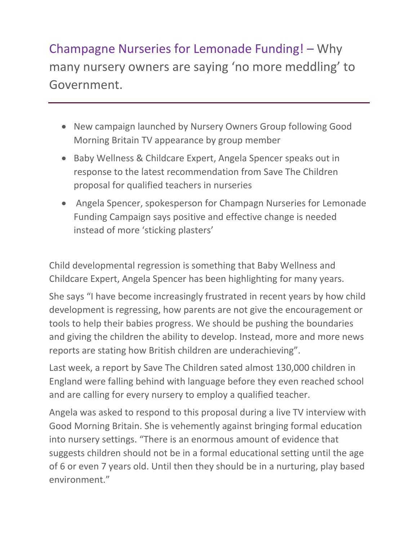Champagne Nurseries for Lemonade Funding! – Why many nursery owners are saying 'no more meddling' to Government.

- New campaign launched by Nursery Owners Group following Good Morning Britain TV appearance by group member
- Baby Wellness & Childcare Expert, Angela Spencer speaks out in response to the latest recommendation from Save The Children proposal for qualified teachers in nurseries
- Angela Spencer, spokesperson for Champagn Nurseries for Lemonade Funding Campaign says positive and effective change is needed instead of more 'sticking plasters'

Child developmental regression is something that Baby Wellness and Childcare Expert, Angela Spencer has been highlighting for many years.

She says "I have become increasingly frustrated in recent years by how child development is regressing, how parents are not give the encouragement or tools to help their babies progress. We should be pushing the boundaries and giving the children the ability to develop. Instead, more and more news reports are stating how British children are underachieving".

Last week, a report by Save The Children sated almost 130,000 children in England were falling behind with language before they even reached school and are calling for every nursery to employ a qualified teacher.

Angela was asked to respond to this proposal during a live TV interview with Good Morning Britain. She is vehemently against bringing formal education into nursery settings. "There is an enormous amount of evidence that suggests children should not be in a formal educational setting until the age of 6 or even 7 years old. Until then they should be in a nurturing, play based environment."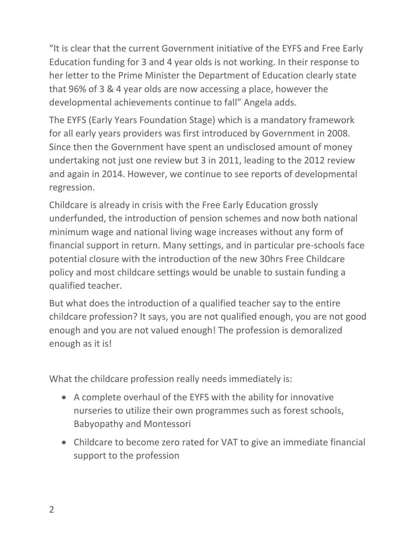"It is clear that the current Government initiative of the EYFS and Free Early Education funding for 3 and 4 year olds is not working. In their response to her letter to the Prime Minister the Department of Education clearly state that 96% of 3 & 4 year olds are now accessing a place, however the developmental achievements continue to fall" Angela adds.

The EYFS (Early Years Foundation Stage) which is a mandatory framework for all early years providers was first introduced by Government in 2008. Since then the Government have spent an undisclosed amount of money undertaking not just one review but 3 in 2011, leading to the 2012 review and again in 2014. However, we continue to see reports of developmental regression.

Childcare is already in crisis with the Free Early Education grossly underfunded, the introduction of pension schemes and now both national minimum wage and national living wage increases without any form of financial support in return. Many settings, and in particular pre-schools face potential closure with the introduction of the new 30hrs Free Childcare policy and most childcare settings would be unable to sustain funding a qualified teacher.

But what does the introduction of a qualified teacher say to the entire childcare profession? It says, you are not qualified enough, you are not good enough and you are not valued enough! The profession is demoralized enough as it is!

What the childcare profession really needs immediately is:

- A complete overhaul of the EYFS with the ability for innovative nurseries to utilize their own programmes such as forest schools, Babyopathy and Montessori
- Childcare to become zero rated for VAT to give an immediate financial support to the profession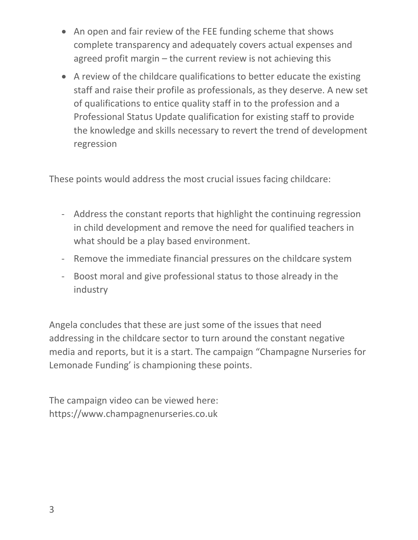- An open and fair review of the FEE funding scheme that shows complete transparency and adequately covers actual expenses and agreed profit margin – the current review is not achieving this
- A review of the childcare qualifications to better educate the existing staff and raise their profile as professionals, as they deserve. A new set of qualifications to entice quality staff in to the profession and a Professional Status Update qualification for existing staff to provide the knowledge and skills necessary to revert the trend of development regression

These points would address the most crucial issues facing childcare:

- Address the constant reports that highlight the continuing regression in child development and remove the need for qualified teachers in what should be a play based environment.
- Remove the immediate financial pressures on the childcare system
- Boost moral and give professional status to those already in the industry

Angela concludes that these are just some of the issues that need addressing in the childcare sector to turn around the constant negative media and reports, but it is a start. The campaign "Champagne Nurseries for Lemonade Funding' is championing these points.

The campaign video can be viewed here: https://www.champagnenurseries.co.uk